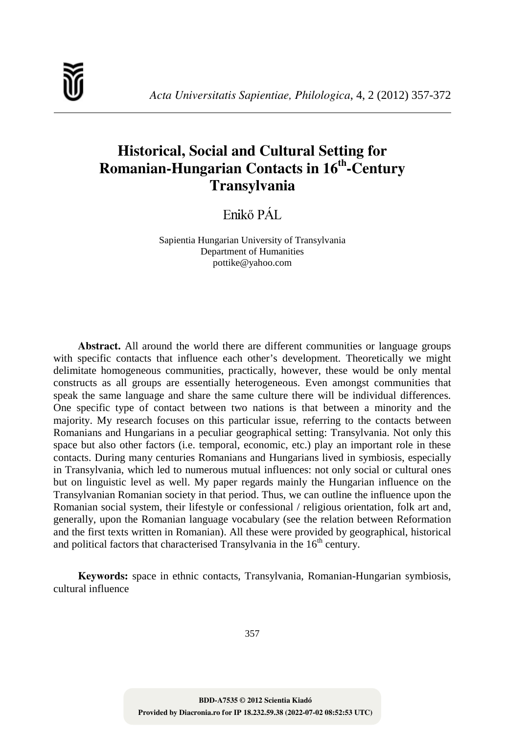# **Historical, Social and Cultural Setting for Romanian-Hungarian Contacts in 16th -Century Transylvania**

Enikő PÁL

Sapientia Hungarian University of Transylvania Department of Humanities pottike@yahoo.com

**Abstract.** All around the world there are different communities or language groups with specific contacts that influence each other's development. Theoretically we might delimitate homogeneous communities, practically, however, these would be only mental constructs as all groups are essentially heterogeneous. Even amongst communities that speak the same language and share the same culture there will be individual differences. One specific type of contact between two nations is that between a minority and the majority. My research focuses on this particular issue, referring to the contacts between Romanians and Hungarians in a peculiar geographical setting: Transylvania. Not only this space but also other factors (i.e. temporal, economic, etc.) play an important role in these contacts. During many centuries Romanians and Hungarians lived in symbiosis, especially in Transylvania, which led to numerous mutual influences: not only social or cultural ones but on linguistic level as well. My paper regards mainly the Hungarian influence on the Transylvanian Romanian society in that period. Thus, we can outline the influence upon the Romanian social system, their lifestyle or confessional / religious orientation, folk art and, generally, upon the Romanian language vocabulary (see the relation between Reformation and the first texts written in Romanian). All these were provided by geographical, historical and political factors that characterised Transylvania in the  $16<sup>th</sup>$  century.

**Keywords:** space in ethnic contacts, Transylvania, Romanian-Hungarian symbiosis, cultural influence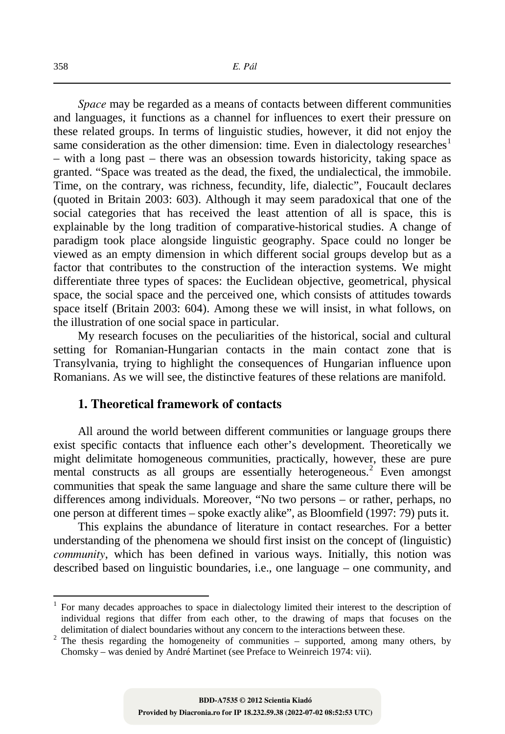*Space* may be regarded as a means of contacts between different communities and languages, it functions as a channel for influences to exert their pressure on these related groups. In terms of linguistic studies, however, it did not enjoy the same consideration as the other dimension: time. Even in dialectology researches<sup>1</sup> – with a long past – there was an obsession towards historicity, taking space as granted. "Space was treated as the dead, the fixed, the undialectical, the immobile. Time, on the contrary, was richness, fecundity, life, dialectic", Foucault declares (quoted in Britain 2003: 603). Although it may seem paradoxical that one of the social categories that has received the least attention of all is space, this is explainable by the long tradition of comparative-historical studies. A change of paradigm took place alongside linguistic geography. Space could no longer be viewed as an empty dimension in which different social groups develop but as a factor that contributes to the construction of the interaction systems. We might differentiate three types of spaces: the Euclidean objective, geometrical, physical space, the social space and the perceived one, which consists of attitudes towards space itself (Britain 2003: 604). Among these we will insist, in what follows, on the illustration of one social space in particular.

My research focuses on the peculiarities of the historical, social and cultural setting for Romanian-Hungarian contacts in the main contact zone that is Transylvania, trying to highlight the consequences of Hungarian influence upon Romanians. As we will see, the distinctive features of these relations are manifold.

## **1. Theoretical framework of contacts**

All around the world between different communities or language groups there exist specific contacts that influence each other's development. Theoretically we might delimitate homogeneous communities, practically, however, these are pure mental constructs as all groups are essentially heterogeneous. 2 Even amongst communities that speak the same language and share the same culture there will be differences among individuals. Moreover, "No two persons – or rather, perhaps, no one person at different times – spoke exactly alike", as Bloomfield (1997: 79) puts it.

This explains the abundance of literature in contact researches. For a better understanding of the phenomena we should first insist on the concept of (linguistic) *community*, which has been defined in various ways. Initially, this notion was described based on linguistic boundaries, i.e., one language – one community, and

<sup>1</sup> For many decades approaches to space in dialectology limited their interest to the description of individual regions that differ from each other, to the drawing of maps that focuses on the delimitation of dialect boundaries without any concern to the interactions between these.

<sup>&</sup>lt;sup>2</sup> The thesis regarding the homogeneity of communities – supported, among many others, by Chomsky – was denied by André Martinet (see Preface to Weinreich 1974: vii).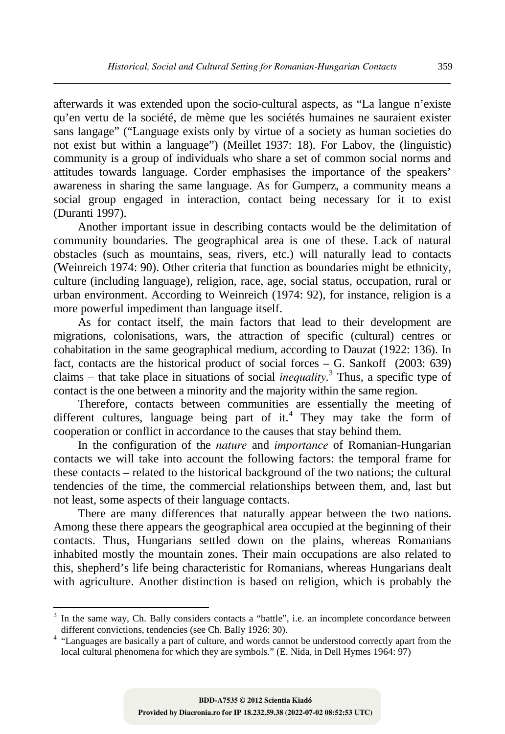afterwards it was extended upon the socio-cultural aspects, as "La langue n'existe qu'en vertu de la société, de mème que les sociétés humaines ne sauraient exister sans langage" ("Language exists only by virtue of a society as human societies do not exist but within a language") (Meillet 1937: 18). For Labov, the (linguistic) community is a group of individuals who share a set of common social norms and attitudes towards language. Corder emphasises the importance of the speakers' awareness in sharing the same language. As for Gumperz, a community means a social group engaged in interaction, contact being necessary for it to exist (Duranti 1997).

Another important issue in describing contacts would be the delimitation of community boundaries. The geographical area is one of these. Lack of natural obstacles (such as mountains, seas, rivers, etc.) will naturally lead to contacts (Weinreich 1974: 90). Other criteria that function as boundaries might be ethnicity, culture (including language), religion, race, age, social status, occupation, rural or urban environment. According to Weinreich (1974: 92), for instance, religion is a more powerful impediment than language itself.

As for contact itself, the main factors that lead to their development are migrations, colonisations, wars, the attraction of specific (cultural) centres or cohabitation in the same geographical medium, according to Dauzat (1922: 136). In fact, contacts are the historical product of social forces – G. Sankoff (2003: 639) claims – that take place in situations of social *inequality*. 3 Thus, a specific type of contact is the one between a minority and the majority within the same region.

Therefore, contacts between communities are essentially the meeting of different cultures, language being part of it.<sup>4</sup> They may take the form of cooperation or conflict in accordance to the causes that stay behind them.

In the configuration of the *nature* and *importance* of Romanian-Hungarian contacts we will take into account the following factors: the temporal frame for these contacts – related to the historical background of the two nations; the cultural tendencies of the time, the commercial relationships between them, and, last but not least, some aspects of their language contacts.

There are many differences that naturally appear between the two nations. Among these there appears the geographical area occupied at the beginning of their contacts. Thus, Hungarians settled down on the plains, whereas Romanians inhabited mostly the mountain zones. Their main occupations are also related to this, shepherd's life being characteristic for Romanians, whereas Hungarians dealt with agriculture. Another distinction is based on religion, which is probably the

 $\ddot{\phantom{a}}$ 

<sup>&</sup>lt;sup>3</sup> In the same way, Ch. Bally considers contacts a "battle", i.e. an incomplete concordance between different convictions, tendencies (see Ch. Bally 1926: 30).

<sup>&</sup>lt;sup>4</sup> "Languages are basically a part of culture, and words cannot be understood correctly apart from the local cultural phenomena for which they are symbols." (E. Nida, in Dell Hymes 1964: 97)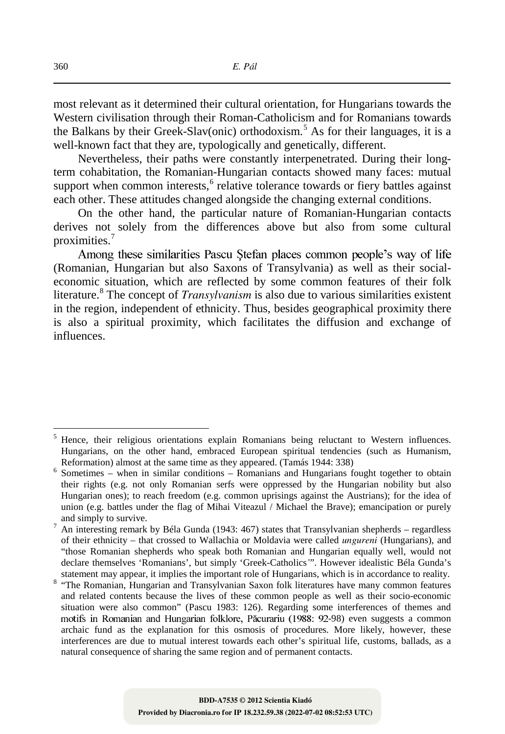most relevant as it determined their cultural orientation, for Hungarians towards the Western civilisation through their Roman-Catholicism and for Romanians towards the Balkans by their Greek-Slav(onic) orthodoxism.<sup>5</sup> As for their languages, it is a well-known fact that they are, typologically and genetically, different.

Nevertheless, their paths were constantly interpenetrated. During their longterm cohabitation, the Romanian-Hungarian contacts showed many faces: mutual support when common interests,<sup>6</sup> relative tolerance towards or fiery battles against each other. These attitudes changed alongside the changing external conditions.

On the other hand, the particular nature of Romanian-Hungarian contacts derives not solely from the differences above but also from some cultural proximities. 7

Among these similarities Pascu Stefan places common people's way of life (Romanian, Hungarian but also Saxons of Transylvania) as well as their socialeconomic situation, which are reflected by some common features of their folk literature.<sup>8</sup> The concept of *Transylvanism* is also due to various similarities existent in the region, independent of ethnicity. Thus, besides geographical proximity there is also a spiritual proximity, which facilitates the diffusion and exchange of influences.

<sup>5</sup> Hence, their religious orientations explain Romanians being reluctant to Western influences. Hungarians, on the other hand, embraced European spiritual tendencies (such as Humanism, Reformation) almost at the same time as they appeared. (Tamás 1944: 338)

<sup>&</sup>lt;sup>6</sup> Sometimes – when in similar conditions – Romanians and Hungarians fought together to obtain their rights (e.g. not only Romanian serfs were oppressed by the Hungarian nobility but also Hungarian ones); to reach freedom (e.g. common uprisings against the Austrians); for the idea of union (e.g. battles under the flag of Mihai Viteazul / Michael the Brave); emancipation or purely and simply to survive.

<sup>7</sup> An interesting remark by Béla Gunda (1943: 467) states that Transylvanian shepherds – regardless of their ethnicity – that crossed to Wallachia or Moldavia were called *ungureni* (Hungarians), and "those Romanian shepherds who speak both Romanian and Hungarian equally well, would not declare themselves 'Romanians', but simply 'Greek-Catholics*'*". However idealistic Béla Gunda's statement may appear, it implies the important role of Hungarians, which is in accordance to reality.

<sup>&</sup>lt;sup>8</sup> "The Romanian, Hungarian and Transylvanian Saxon folk literatures have many common features and related contents because the lives of these common people as well as their socio-economic situation were also common" (Pascu 1983: 126). Regarding some interferences of themes and motifs in Romanian and Hungarian folklore, Păcurariu (1988: 92-98) even suggests a common archaic fund as the explanation for this osmosis of procedures. More likely, however, these interferences are due to mutual interest towards each other's spiritual life, customs, ballads, as a natural consequence of sharing the same region and of permanent contacts.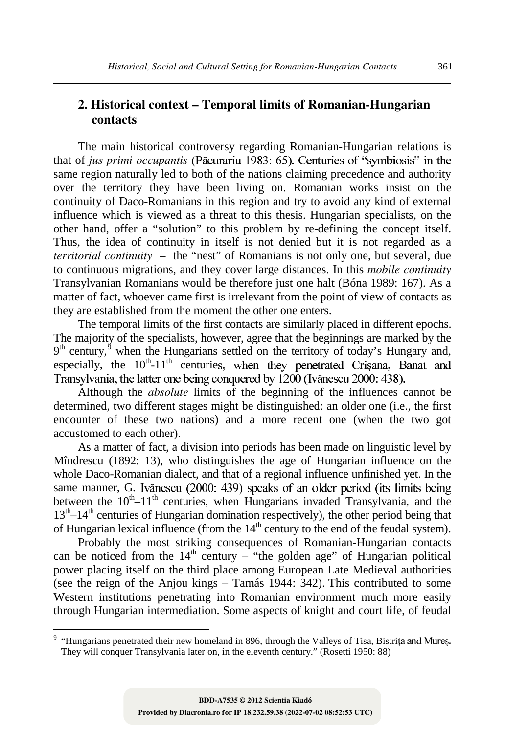# **2. Historical context – Temporal limits of Romanian-Hungarian contacts**

The main historical controversy regarding Romanian-Hungarian relations is that of *jus primi occupantis* (Păcurariu 1983: 65). Centuries of "symbiosis" in the same region naturally led to both of the nations claiming precedence and authority over the territory they have been living on. Romanian works insist on the continuity of Daco-Romanians in this region and try to avoid any kind of external influence which is viewed as a threat to this thesis. Hungarian specialists, on the other hand, offer a "solution" to this problem by re-defining the concept itself. Thus, the idea of continuity in itself is not denied but it is not regarded as a *territorial continuity* – the "nest" of Romanians is not only one, but several, due to continuous migrations, and they cover large distances. In this *mobile continuity* Transylvanian Romanians would be therefore just one halt (Bóna 1989: 167). As a matter of fact, whoever came first is irrelevant from the point of view of contacts as they are established from the moment the other one enters.

The temporal limits of the first contacts are similarly placed in different epochs. The majority of the specialists, however, agree that the beginnings are marked by the  $9<sup>th</sup>$  century,<sup>9</sup> when the Hungarians settled on the territory of today's Hungary and, especially, the  $10^{th}$ -11<sup>th</sup> centurie

Although the *absolute* limits of the beginning of the influences cannot be determined, two different stages might be distinguished: an older one (i.e., the first encounter of these two nations) and a more recent one (when the two got accustomed to each other).

As a matter of fact, a division into periods has been made on linguistic level by Mîndrescu (1892: 13), who distinguishes the age of Hungarian influence on the whole Daco-Romanian dialect, and that of a regional influence unfinished yet. In the same manner, G. Ivănescu (2000: 439) speaks of an older period (its limits being between the  $10^{th} - 11^{th}$  centuries, when Hungarians invaded Transylvania, and the 13<sup>th</sup>-14<sup>th</sup> centuries of Hungarian domination respectively), the other period being that of Hungarian lexical influence (from the  $14<sup>th</sup>$  century to the end of the feudal system).

Probably the most striking consequences of Romanian-Hungarian contacts can be noticed from the  $14<sup>th</sup>$  century – "the golden age" of Hungarian political power placing itself on the third place among European Late Medieval authorities (see the reign of the Anjou kings – Tamás 1944:  $342$ ). This contributed to some Western institutions penetrating into Romanian environment much more easily through Hungarian intermediation. Some aspects of knight and court life, of feudal

<sup>9</sup> "Hungarians penetrated their new homeland in 896, through the Valleys of Tisa, Bistri They will conquer Transylvania later on, in the eleventh century." (Rosetti 1950: 88)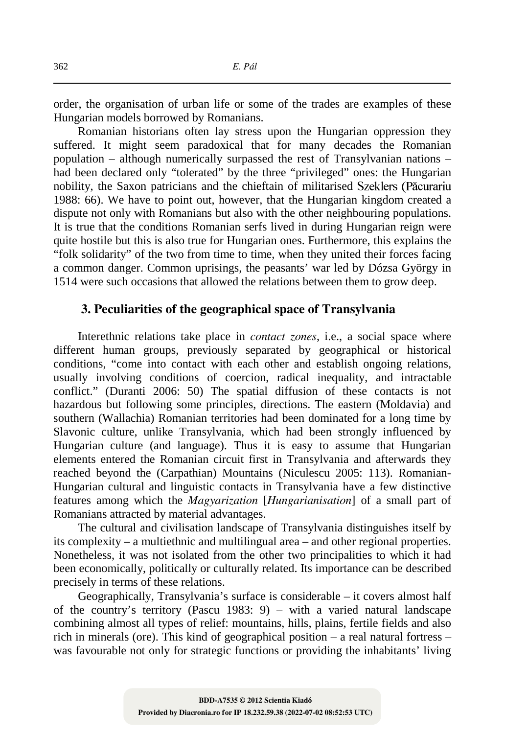order, the organisation of urban life or some of the trades are examples of these Hungarian models borrowed by Romanians.

Romanian historians often lay stress upon the Hungarian oppression they suffered. It might seem paradoxical that for many decades the Romanian population – although numerically surpassed the rest of Transylvanian nations – had been declared only "tolerated" by the three "privileged" ones: the Hungarian nobility, the Saxon patricians and the chieftain of militarised Szeklers (Păcurariu 1988: 66). We have to point out, however, that the Hungarian kingdom created a dispute not only with Romanians but also with the other neighbouring populations. It is true that the conditions Romanian serfs lived in during Hungarian reign were quite hostile but this is also true for Hungarian ones. Furthermore, this explains the "folk solidarity" of the two from time to time, when they united their forces facing a common danger. Common uprisings, the peasants' war led by Dózsa György in 1514 were such occasions that allowed the relations between them to grow deep.

## **3. Peculiarities of the geographical space of Transylvania**

Interethnic relations take place in *contact zones*, i.e., a social space where different human groups, previously separated by geographical or historical conditions, "come into contact with each other and establish ongoing relations, usually involving conditions of coercion, radical inequality, and intractable conflict." (Duranti 2006: 50) The spatial diffusion of these contacts is not hazardous but following some principles, directions. The eastern (Moldavia) and southern (Wallachia) Romanian territories had been dominated for a long time by Slavonic culture, unlike Transylvania, which had been strongly influenced by Hungarian culture (and language). Thus it is easy to assume that Hungarian elements entered the Romanian circuit first in Transylvania and afterwards they reached beyond the (Carpathian) Mountains (Niculescu 2005: 113). Romanian-Hungarian cultural and linguistic contacts in Transylvania have a few distinctive features among which the *Magyarization* [*Hungarianisation*] of a small part of Romanians attracted by material advantages.

The cultural and civilisation landscape of Transylvania distinguishes itself by its complexity – a multiethnic and multilingual area – and other regional properties. Nonetheless, it was not isolated from the other two principalities to which it had been economically, politically or culturally related. Its importance can be described precisely in terms of these relations.

Geographically, Transylvania's surface is considerable – it covers almost half of the country's territory (Pascu 1983: 9) – with a varied natural landscape combining almost all types of relief: mountains, hills, plains, fertile fields and also rich in minerals (ore). This kind of geographical position – a real natural fortress – was favourable not only for strategic functions or providing the inhabitants' living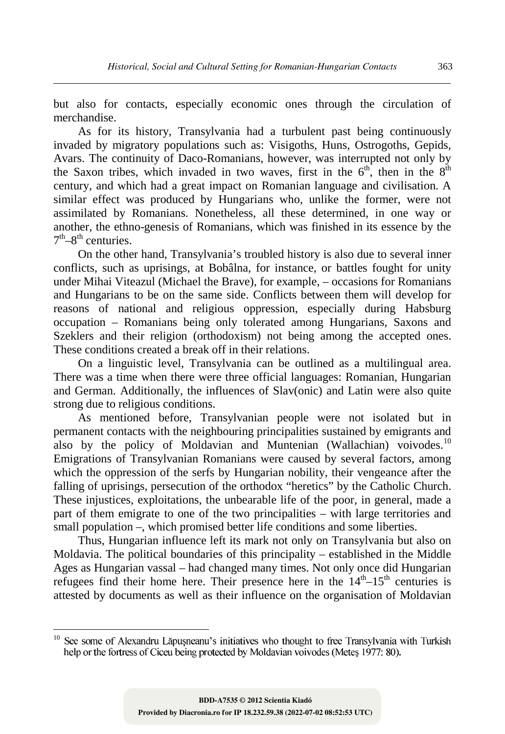but also for contacts, especially economic ones through the circulation of merchandise.

As for its history, Transylvania had a turbulent past being continuously invaded by migratory populations such as: Visigoths, Huns, Ostrogoths, Gepids, Avars. The continuity of Daco-Romanians, however, was interrupted not only by the Saxon tribes, which invaded in two waves, first in the  $6<sup>th</sup>$ , then in the  $8<sup>th</sup>$ century, and which had a great impact on Romanian language and civilisation. A similar effect was produced by Hungarians who, unlike the former, were not assimilated by Romanians. Nonetheless, all these determined, in one way or another, the ethno-genesis of Romanians, which was finished in its essence by the  $7<sup>th</sup>-8<sup>th</sup>$  centuries.

On the other hand, Transylvania's troubled history is also due to several inner conflicts, such as uprisings, at Bobâlna, for instance, or battles fought for unity under Mihai Viteazul (Michael the Brave), for example, – occasions for Romanians and Hungarians to be on the same side. Conflicts between them will develop for reasons of national and religious oppression, especially during Habsburg occupation – Romanians being only tolerated among Hungarians, Saxons and Szeklers and their religion (orthodoxism) not being among the accepted ones. These conditions created a break off in their relations.

On a linguistic level, Transylvania can be outlined as a multilingual area. There was a time when there were three official languages: Romanian, Hungarian and German. Additionally, the influences of Slav(onic) and Latin were also quite strong due to religious conditions.

As mentioned before, Transylvanian people were not isolated but in permanent contacts with the neighbouring principalities sustained by emigrants and also by the policy of Moldavian and Muntenian (Wallachian) voivodes.<sup>10</sup> Emigrations of Transylvanian Romanians were caused by several factors, among which the oppression of the serfs by Hungarian nobility, their vengeance after the falling of uprisings, persecution of the orthodox "heretics" by the Catholic Church. These injustices, exploitations, the unbearable life of the poor, in general, made a part of them emigrate to one of the two principalities – with large territories and small population –, which promised better life conditions and some liberties.

Thus, Hungarian influence left its mark not only on Transylvania but also on Moldavia. The political boundaries of this principality – established in the Middle Ages as Hungarian vassal – had changed many times. Not only once did Hungarian refugees find their home here. Their presence here in the  $14<sup>th</sup> - 15<sup>th</sup>$  centuries is attested by documents as well as their influence on the organisation of Moldavian

<sup>&</sup>lt;sup>10</sup> help or the fortress of Ciceu being protected by Moldavian voivodes (Metes 1977: 80).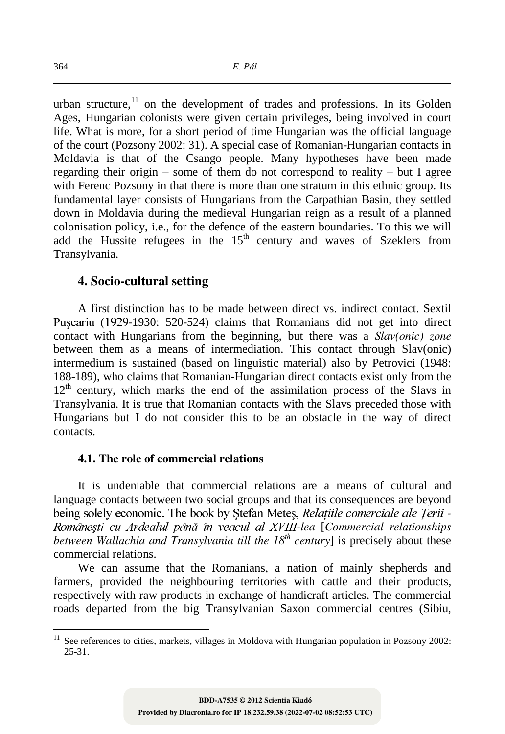urban structure, $11$  on the development of trades and professions. In its Golden Ages, Hungarian colonists were given certain privileges, being involved in court life. What is more, for a short period of time Hungarian was the official language of the court (Pozsony 2002: 31). A special case of Romanian-Hungarian contacts in Moldavia is that of the Csango people. Many hypotheses have been made regarding their origin – some of them do not correspond to reality – but I agree with Ferenc Pozsony in that there is more than one stratum in this ethnic group. Its fundamental layer consists of Hungarians from the Carpathian Basin, they settled down in Moldavia during the medieval Hungarian reign as a result of a planned colonisation policy, i.e., for the defence of the eastern boundaries. To this we will add the Hussite refugees in the  $15<sup>th</sup>$  century and waves of Szeklers from Transylvania.

#### **4. Socio-cultural setting**

A first distinction has to be made between direct vs. indirect contact. Sextil Puscariu (1929-1930: 520-524) claims that Romanians did not get into direct contact with Hungarians from the beginning, but there was a *Slav(onic) zone* between them as a means of intermediation. This contact through Slav(onic) intermedium is sustained (based on linguistic material) also by Petrovici (1948: 188-189), who claims that Romanian-Hungarian direct contacts exist only from the  $12<sup>th</sup>$  century, which marks the end of the assimilation process of the Slavs in Transylvania. It is true that Romanian contacts with the Slavs preceded those with Hungarians but I do not consider this to be an obstacle in the way of direct contacts.

#### **4.1. The role of commercial relations**

It is undeniable that commercial relations are a means of cultural and language contacts between two social groups and that its consequences are beyond being solely economic. The book by Stefan Metes, *Relatiile comerciale ale Terii* -*Românești cu Ardealul până în veacul al XVIII-lea* [Commercial relationships *between Wallachia and Transylvania till the 18th century*] is precisely about these commercial relations.

We can assume that the Romanians, a nation of mainly shepherds and farmers, provided the neighbouring territories with cattle and their products, respectively with raw products in exchange of handicraft articles. The commercial roads departed from the big Transylvanian Saxon commercial centres (Sibiu,

<sup>&</sup>lt;sup>11</sup> See references to cities, markets, villages in Moldova with Hungarian population in Pozsony 2002: 25-31.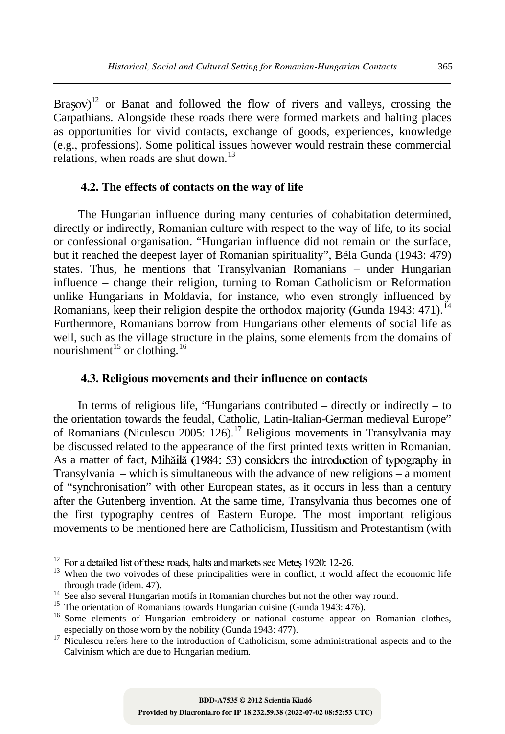Brasov)<sup>12</sup> or Banat and followed the flow of rivers and valleys, crossing the Carpathians. Alongside these roads there were formed markets and halting places as opportunities for vivid contacts, exchange of goods, experiences, knowledge (e.g., professions). Some political issues however would restrain these commercial relations, when roads are shut down.<sup>13</sup>

#### **4.2. The effects of contacts on the way of life**

The Hungarian influence during many centuries of cohabitation determined, directly or indirectly, Romanian culture with respect to the way of life, to its social or confessional organisation. "Hungarian influence did not remain on the surface, but it reached the deepest layer of Romanian spirituality", Béla Gunda (1943: 479) states. Thus, he mentions that Transylvanian Romanians – under Hungarian influence – change their religion, turning to Roman Catholicism or Reformation unlike Hungarians in Moldavia, for instance, who even strongly influenced by Romanians, keep their religion despite the orthodox majority (Gunda 1943: 471).<sup>14</sup> Furthermore, Romanians borrow from Hungarians other elements of social life as well, such as the village structure in the plains, some elements from the domains of nourishment<sup>15</sup> or clothing.<sup>16</sup>

#### **4.3. Religious movements and their influence on contacts**

In terms of religious life, "Hungarians contributed – directly or indirectly – to the orientation towards the feudal, Catholic, Latin-Italian-German medieval Europe" of Romanians (Niculescu 2005: 126).<sup>17</sup> Religious movements in Transylvania may be discussed related to the appearance of the first printed texts written in Romanian. As a matter of fact, Mihăilă (1984: 53) considers the introduction of typography in Transylvania – which is simultaneous with the advance of new religions – a moment of "synchronisation" with other European states, as it occurs in less than a century after the Gutenberg invention. At the same time, Transylvania thus becomes one of the first typography centres of Eastern Europe. The most important religious movements to be mentioned here are Catholicism, Hussitism and Protestantism (with

 $\ddot{\phantom{a}}$ 

 $12$  For a detailed list of these roads, halts and markets see Metes 1920: 12-26.

<sup>&</sup>lt;sup>13</sup> When the two voivodes of these principalities were in conflict, it would affect the economic life through trade (idem. 47).

<sup>&</sup>lt;sup>14</sup> See also several Hungarian motifs in Romanian churches but not the other way round.

<sup>&</sup>lt;sup>15</sup> The orientation of Romanians towards Hungarian cuisine (Gunda 1943: 476).

<sup>&</sup>lt;sup>16</sup> Some elements of Hungarian embroidery or national costume appear on Romanian clothes, especially on those worn by the nobility (Gunda 1943: 477).

<sup>&</sup>lt;sup>17</sup> Niculescu refers here to the introduction of Catholicism, some administrational aspects and to the Calvinism which are due to Hungarian medium.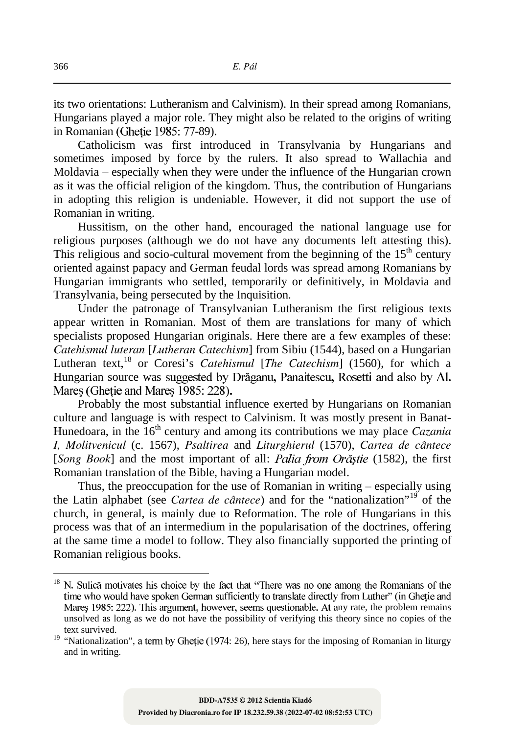its two orientations: Lutheranism and Calvinism). In their spread among Romanians, Hungarians played a major role. They might also be related to the origins of writing in Romanian (Ghetie 1985: 77-89).

Catholicism was first introduced in Transylvania by Hungarians and sometimes imposed by force by the rulers. It also spread to Wallachia and Moldavia – especially when they were under the influence of the Hungarian crown as it was the official religion of the kingdom. Thus, the contribution of Hungarians in adopting this religion is undeniable. However, it did not support the use of Romanian in writing.

Hussitism, on the other hand, encouraged the national language use for religious purposes (although we do not have any documents left attesting this). This religious and socio-cultural movement from the beginning of the  $15<sup>th</sup>$  century oriented against papacy and German feudal lords was spread among Romanians by Hungarian immigrants who settled, temporarily or definitively, in Moldavia and Transylvania, being persecuted by the Inquisition.

Under the patronage of Transylvanian Lutheranism the first religious texts appear written in Romanian. Most of them are translations for many of which specialists proposed Hungarian originals. Here there are a few examples of these: *Catehismul luteran* [*Lutheran Catechism*] from Sibiu (1544), based on a Hungarian Lutheran text,<sup>18</sup> or Coresi's *Catehismul* [*The Catechism*] (1560), for which a Hungarian source was suggested by Drăganu, Panaitescu, Rosetti and also by Al. Mares (Ghetie and Mares 1985: 228).

Probably the most substantial influence exerted by Hungarians on Romanian culture and language is with respect to Calvinism. It was mostly present in Banat-Hunedoara, in the 16<sup>th</sup> century and among its contributions we may place *Cazania I, Molitvenicul* (c. 1567), *Psaltirea* and *Liturghierul* (1570), *Cartea de cântece*  [*Song Book*] and the most important of all: *Palia from Orăștie* (1582), the first Romanian translation of the Bible, having a Hungarian model.

Thus, the preoccupation for the use of Romanian in writing – especially using the Latin alphabet (see *Cartea de cântece*) and for the "nationalization"<sup>19</sup> of the church, in general, is mainly due to Reformation. The role of Hungarians in this process was that of an intermedium in the popularisation of the doctrines, offering at the same time a model to follow. They also financially supported the printing of Romanian religious books.

<sup>18</sup> N. Sulică motivates his choice by the fact that "There was no one among the Romanians of the time who would have spoken German sufficiently to translate directly from Luther" (in Gheție and Mareș 1985: 222). This argument, however, seems questionable. At any rate, the problem remains unsolved as long as we do not have the possibility of verifying this theory since no copies of the text survived.

<sup>&</sup>lt;sup>19</sup> "Nationalization", a term by Ghetie (1974: 26), here stays for the imposing of Romanian in liturgy and in writing.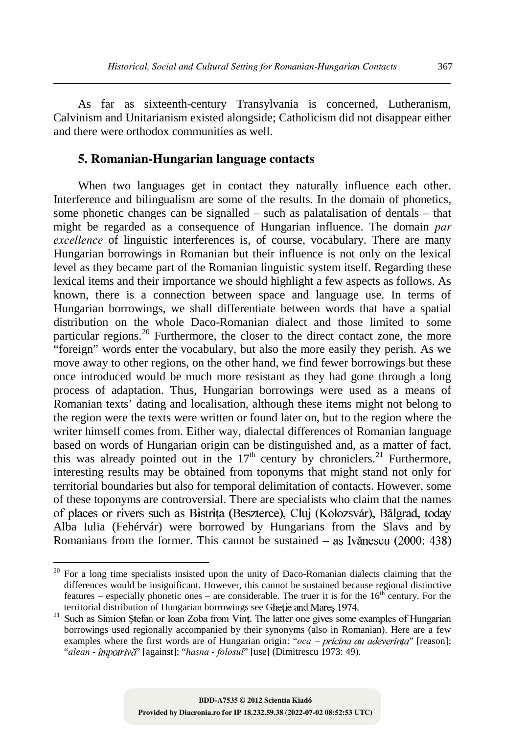As far as sixteenth-century Transylvania is concerned, Lutheranism, Calvinism and Unitarianism existed alongside; Catholicism did not disappear either and there were orthodox communities as well.

### **5. Romanian-Hungarian language contacts**

When two languages get in contact they naturally influence each other. Interference and bilingualism are some of the results. In the domain of phonetics, some phonetic changes can be signalled – such as palatalisation of dentals – that might be regarded as a consequence of Hungarian influence. The domain *par excellence* of linguistic interferences is, of course, vocabulary. There are many Hungarian borrowings in Romanian but their influence is not only on the lexical level as they became part of the Romanian linguistic system itself. Regarding these lexical items and their importance we should highlight a few aspects as follows. As known, there is a connection between space and language use. In terms of Hungarian borrowings, we shall differentiate between words that have a spatial distribution on the whole Daco-Romanian dialect and those limited to some particular regions.<sup>20</sup> Furthermore, the closer to the direct contact zone, the more "foreign" words enter the vocabulary, but also the more easily they perish. As we move away to other regions, on the other hand, we find fewer borrowings but these once introduced would be much more resistant as they had gone through a long process of adaptation. Thus, Hungarian borrowings were used as a means of Romanian texts' dating and localisation, although these items might not belong to the region were the texts were written or found later on, but to the region where the writer himself comes from. Either way, dialectal differences of Romanian language based on words of Hungarian origin can be distinguished and, as a matter of fact, this was already pointed out in the  $17<sup>th</sup>$  century by chroniclers.<sup>21</sup> Furthermore, interesting results may be obtained from toponyms that might stand not only for territorial boundaries but also for temporal delimitation of contacts. However, some of these toponyms are controversial. There are specialists who claim that the names of places or rivers such as Bistrita (Beszterce), Cluj (Kolozsvár), Bălgrad, today Alba Iulia (Fehérvár) were borrowed by Hungarians from the Slavs and by Romanians from the former. This cannot be sustained – as Ivănescu (2000: 438)

 $20$  For a long time specialists insisted upon the unity of Daco-Romanian dialects claiming that the differences would be insignificant. However, this cannot be sustained because regional distinctive features – especially phonetic ones – are considerable. The truer it is for the  $16<sup>th</sup>$  century. For the territorial distribution of Hungarian borrowings see Ghetie and Mares 1974.<br>Such as Simion Stefan or Ioan Zoba from Vint. The latter one gives some examples of Hungarian

<sup>21</sup> borrowings used regionally accompanied by their synonyms (also in Romanian). Here are a few examples where the first words are of Hungarian origin: "oca – pricina au adeverința" [reason]; "*alean - împotrivă*" [against]; "*hasna - folosul*" [use] (Dimitrescu 1973: 49).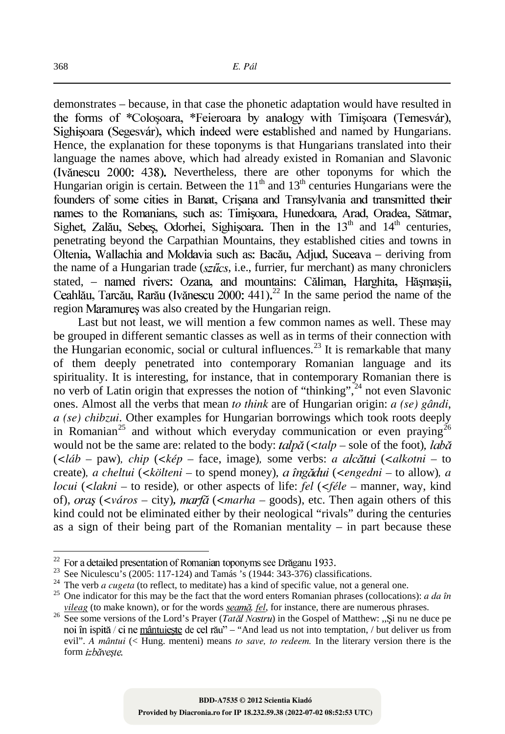demonstrates – because, in that case the phonetic adaptation would have resulted in the forms of \*Colosoara, \*Feieroara by analogy with Timisoara (Temesvár), Sighisoara (Segesvár), which indeed were established and named by Hungarians. Hence, the explanation for these toponyms is that Hungarians translated into their language the names above, which had already existed in Romanian and Slavonic (Ivănescu 2000: 438). Nevertheless, there are other toponyms for which the Hungarian origin is certain. Between the  $11<sup>th</sup>$  and  $13<sup>th</sup>$  centuries Hungarians were the founders of some cities in Banat. Crisana and Transvlvania and transmitted their names to the Romanians, such as: Timisoara, Hunedoara, Arad, Oradea, Sătmar, Sighet, Zalău, Sebes, Odorhei, Sighisoara. Then in the  $13<sup>th</sup>$  and  $14<sup>th</sup>$  centuries, penetrating beyond the Carpathian Mountains, they established cities and towns in Oltenia. Wallachia and Moldavia such as: Bacău, Adjud, Suceava – deriving from the name of a Hungarian trade ( $sz\tilde{u}cs$ , i.e., furrier, fur merchant) as many chroniclers stated, - named rivers: Ozana, and mountains: Căliman, Harghita, Hăsmasii,  $22$  In the same period the name of the region Maramures was also created by the Hungarian reign.

Last but not least, we will mention a few common names as well. These may be grouped in different semantic classes as well as in terms of their connection with the Hungarian economic, social or cultural influences.<sup>23</sup> It is remarkable that many of them deeply penetrated into contemporary Romanian language and its spirituality. It is interesting, for instance, that in contemporary Romanian there is no verb of Latin origin that expresses the notion of "thinking",<sup>24</sup> not even Slavonic ones. Almost all the verbs that mean *to think* are of Hungarian origin: *a (se) gândi*, *a (se) chibzui*. Other examples for Hungarian borrowings which took roots deeply in Romanian<sup>25</sup> and without which everyday communication or even praying<sup>26</sup> would not be the same are: related to the body: *talpa* (<*talp* – sole of the foot), *laba* (*<láb –* paw)*, chip* (*<kép –* face, image)*,* some verbs: *a* (*<alkotni –* to create)*, a cheltui* (*<költeni –* to spend money) (*<engedni –* to allow)*, a locui* (*<lakni –* to reside)*,* or other aspects of life: *fel* (*<féle –* manner, way, kind of), *oras* (<város – city), *marfă* (<*marha* – goods), etc. Then again others of this kind could not be eliminated either by their neological "rivals" during the centuries as a sign of their being part of the Romanian mentality – in part because these

 $\ddot{\phantom{a}}$ 

 $22$  For a detailed presentation of Romanian toponyms see Drăganu 1933.

<sup>&</sup>lt;sup>23</sup> See Niculescu's (2005: 117-124) and Tamás 's (1944: 343-376) classifications.

<sup>&</sup>lt;sup>24</sup> The verb *a cugeta* (to reflect, to meditate) has a kind of specific value, not a general one.

<sup>25</sup> One indicator for this may be the fact that the word enters Romanian phrases (collocations): *a da în vileag* (to make known), or for the words *seamă*, *fel*, for instance, there are numerous phrases.

<sup>&</sup>lt;sup>26</sup> See some versions of the Lord's Prayer (*Tatăl Nostru*) in the Gospel of Matthew: "Și nu ne duce pe noi în ispită / ci ne mântuieste de cel rău" – "And lead us not into temptation, / but deliver us from evil". *A mântui* (< Hung. menteni) means *to save, to redeem.* In the literary version there is the form izbăveste.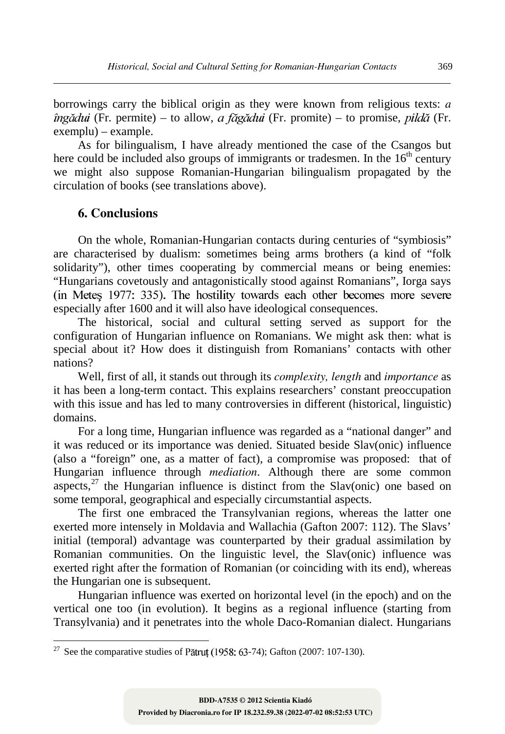borrowings carry the biblical origin as they were known from religious texts: *a*  $\hat{i}$ ngădui (Fr. permite) – to allow, *a făgădui* (Fr. promite) – to promise, *pildă* (Fr. exemplu) – example.

As for bilingualism, I have already mentioned the case of the Csangos but here could be included also groups of immigrants or tradesmen. In the  $16<sup>th</sup>$  century we might also suppose Romanian-Hungarian bilingualism propagated by the circulation of books (see translations above).

# **6. Conclusions**

 $\overline{a}$ 

On the whole, Romanian-Hungarian contacts during centuries of "symbiosis" are characterised by dualism: sometimes being arms brothers (a kind of "folk solidarity"), other times cooperating by commercial means or being enemies: "Hungarians covetously and antagonistically stood against Romanians", Iorga says especially after 1600 and it will also have ideological consequences.

The historical, social and cultural setting served as support for the configuration of Hungarian influence on Romanians. We might ask then: what is special about it? How does it distinguish from Romanians' contacts with other nations?

Well, first of all, it stands out through its *complexity, length* and *importance* as it has been a long-term contact. This explains researchers' constant preoccupation with this issue and has led to many controversies in different (historical, linguistic) domains.

For a long time, Hungarian influence was regarded as a "national danger" and it was reduced or its importance was denied. Situated beside Slav(onic) influence (also a "foreign" one, as a matter of fact), a compromise was proposed: that of Hungarian influence through *mediation*. Although there are some common aspects,<sup>27</sup> the Hungarian influence is distinct from the Slav(onic) one based on some temporal, geographical and especially circumstantial aspects.

The first one embraced the Transylvanian regions, whereas the latter one exerted more intensely in Moldavia and Wallachia (Gafton 2007: 112). The Slavs' initial (temporal) advantage was counterparted by their gradual assimilation by Romanian communities. On the linguistic level, the Slav(onic) influence was exerted right after the formation of Romanian (or coinciding with its end), whereas the Hungarian one is subsequent.

Hungarian influence was exerted on horizontal level (in the epoch) and on the vertical one too (in evolution). It begins as a regional influence (starting from Transylvania) and it penetrates into the whole Daco-Romanian dialect. Hungarians

<sup>&</sup>lt;sup>27</sup> See the comparative studies of Pătruț (1958: 63-74); Gafton (2007: 107-130).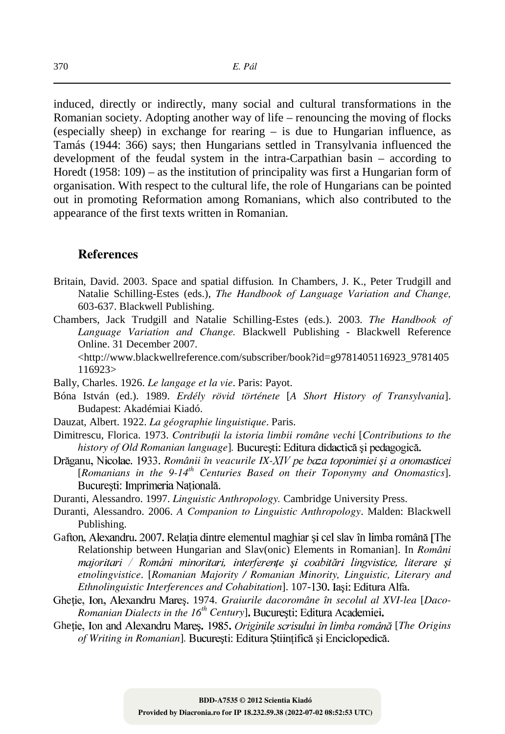induced, directly or indirectly, many social and cultural transformations in the Romanian society. Adopting another way of life – renouncing the moving of flocks (especially sheep) in exchange for rearing – is due to Hungarian influence, as Tamás (1944: 366) says; then Hungarians settled in Transylvania influenced the development of the feudal system in the intra-Carpathian basin – according to Horedt (1958: 109) – as the institution of principality was first a Hungarian form of organisation. With respect to the cultural life, the role of Hungarians can be pointed out in promoting Reformation among Romanians, which also contributed to the appearance of the first texts written in Romanian.

#### **References**

- Britain, David. 2003. Space and spatial diffusion*.* In Chambers, J. K., Peter Trudgill and Natalie Schilling-Estes (eds.), *The Handbook of Language Variation and Change,*  603-637. Blackwell Publishing.
- Chambers, Jack Trudgill and Natalie Schilling-Estes (eds.). 2003. *The Handbook of Language Variation and Change.* Blackwell Publishing - Blackwell Reference Online. 31 December 2007.

 <http://www.blackwellreference.com/subscriber/book?id=g9781405116923\_9781405 116923>

Bally, Charles. 1926. *Le langage et la vie*. Paris: Payot.

- Bóna István (ed.). 1989. *Erdély rövid története* [*A Short History of Transylvania*]. Budapest: Akadémiai Kiadó.
- Dauzat, Albert. 1922. *La géographie linguistique*. Paris.
- Dimitrescu, Florica. 1973. Contribuții la istoria limbii române vechi [Contributions to the *history of Old Romanian language*]*.*
- Drăganu, Nicolae. 1933. Românii în veacurile IX-XIV pe baza toponimiei și a onomasticei [*Romanians in the 9-14th Centuries Based on their Toponymy and Onomastics*]. București: Imprimeria Națională.
- Duranti, Alessandro. 1997. *Linguistic Anthropology.* Cambridge University Press.
- Duranti, Alessandro. 2006. *A Companion to Linguistic Anthropology*. Malden: Blackwell Publishing.
- Gafton, Alexandru. 2007. Relatia dintre elementul maghiar si cel slav în limba română [The Relationship between Hungarian and Slav(onic) Elements in Romanian]. In *Români*  majoritari / Români minoritari, interferențe și coabitări lingvistice, literare și *etnolingvistice*. [*Romanian Majority / Romanian Minority, Linguistic, Literary and Ethnolinguistic Interferences and Cohabitation*]. 107-
- Ghetie, Ion, Alexandru Mares. 1974. *Graiurile dacoromâne în secolul al XVI-lea* [*Daco-Romanian Dialects in the 16th Century*]
- Ghetie, Ion and Alexandru Mares. 1985. Originile scrisului în limba română [The Origins *of Writing in Romanian*]*.*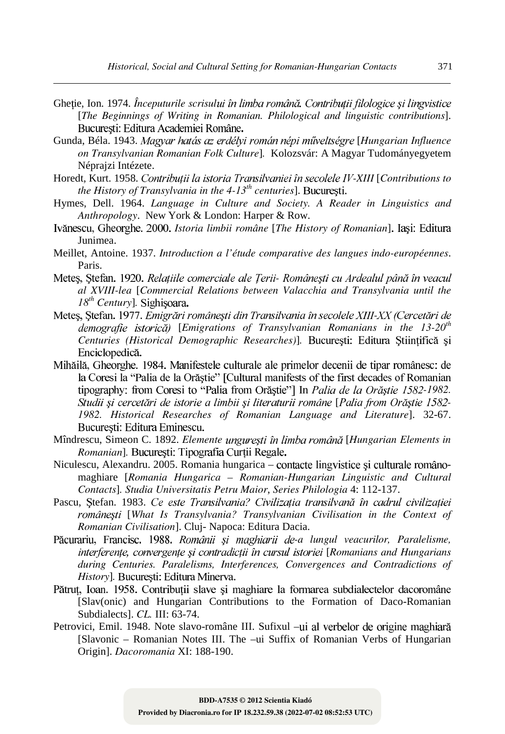- Ghetie, Ion. 1974. Începuturile scrisului în limba română. Contributii filologice și lingvistice [*The Beginnings of Writing in Romanian. Philological and linguistic contributions*].
- Gunda, Béla. 1943. Magyar hatás az erdélyi román népi műveltségre [Hungarian Influence *on Transylvanian Romanian Folk Culture*]*.* Kolozsvár: A Magyar Tudományegyetem Néprajzi Intézete.
- Horedt, Kurt. 1958. Contribuții la istoria Transilvaniei în secolele IV-XIII [Contributions to *the History of Transylvania in the 4-13th centuries*].
- Hymes, Dell. 1964. *Language in Culture and Society. A Reader in Linguistics and Anthropology*. New York & London: Harper & Row.
- Ivănescu, Gheorghe. 2000. *Istoria limbii române* [*The History of Romanian*]. Iași: Editura Junimea.
- Meillet, Antoine. 1937. *Introduction a l'étude comparative des langues indo-européennes*. Paris.
- Meteş, Ștefan. 1920. Relațiile comerciale ale Țerii- Românești cu Ardealul până în veacul *al XVIII-lea* [*Commercial Relations between Valacchia and Transylvania until the 18th Century*]*.*
- Metes, Ștefan. 1977. Emigrări românești din Transilvania în secolele XIII-XX (Cercetări de [*Emigrations of Transylvanian Romanians in the 13-20th Centuries (Historical Demographic Researches)*]*.*  Enciclopedică.
- Mihăilă, Gheorghe, 1984. Manifestele culturale ale primelor decenii de tipar românesc: de la Coresi la "Palia de la Orăștie" [Cultural manifests of the first decades of Romanian tipography: from Coresi to "Palia from Orăștie"] In *Palia de la Orăștie 1582-1982*. Studii și cercetări de istorie a limbii și literaturii române [Palia from Orăștie 1582-*1982. Historical Researches of Romanian Language and Literature*]. 32-67. București: Editura Eminescu.
- Mîndrescu, Simeon C. 1892. *Elemente ungurești în limba română* [Hungarian Elements in *Romanian*]*.*
- Niculescu, Alexandru. 2005. Romania hungarica contacte lingvistice și culturale românomaghiare [*Romania Hungarica – Romanian-Hungarian Linguistic and Cultural Contacts*]*. Studia Universitatis Petru Maior*, *Series Philologia* 4: 112-137.
- Pascu, Ștefan. 1983. Ce este Transilvania? Civilizația transilvană în cadrul civilizației [*What Is Transylvania? Transylvanian Civilisation in the Context of Romanian Civilisation*]. Cluj- Napoca: Editura Dacia.
- Păcurariu, Francisc. 1988. Românii și maghiarii de-a lungul veacurilor, Paralelisme, [*Romanians and Hungarians during Centuries. Paralelisms, Interferences, Convergences and Contradictions of History*]. București: Editura Minerva.
- Pătruț, Ioan. 1958. Contribuții slave și maghiare la formarea subdialectelor dacoromâne [Slav(onic) and Hungarian Contributions to the Formation of Daco-Romanian Subdialects]. *CL.* III: 63-74.
- Petrovici, Emil. 1948. Note slavo-române III. Sufixul –ui al verbelor de origine maghiară [Slavonic – Romanian Notes III. The –ui Suffix of Romanian Verbs of Hungarian Origin]. *Dacoromania* XI: 188-190.